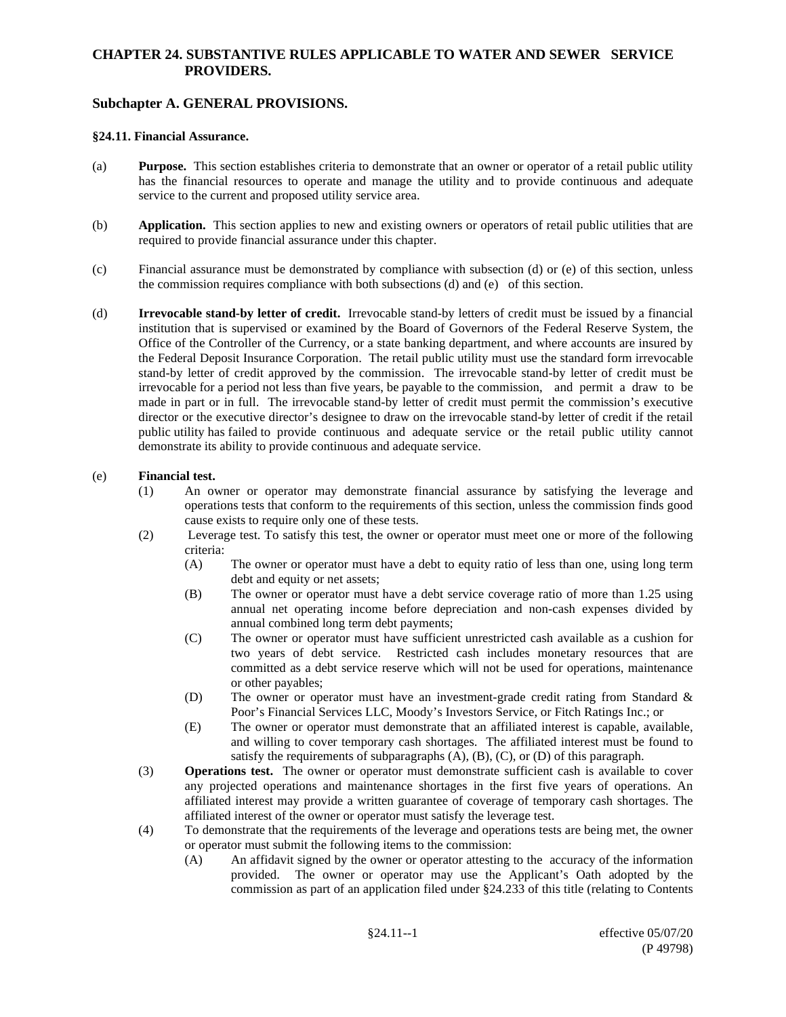## **CHAPTER 24. SUBSTANTIVE RULES APPLICABLE TO WATER AND SEWER SERVICE PROVIDERS.**

## **Subchapter A. GENERAL PROVISIONS.**

#### **§24.11. Financial Assurance.**

- (a) **Purpose.** This section establishes criteria to demonstrate that an owner or operator of a retail public utility has the financial resources to operate and manage the utility and to provide continuous and adequate service to the current and proposed utility service area.
- (b) **Application.** This section applies to new and existing owners or operators of retail public utilities that are required to provide financial assurance under this chapter.
- (c) Financial assurance must be demonstrated by compliance with subsection (d) or (e) of this section, unless the commission requires compliance with both subsections (d) and (e) of this section.
- (d) **Irrevocable stand-by letter of credit.** Irrevocable stand-by letters of credit must be issued by a financial institution that is supervised or examined by the Board of Governors of the Federal Reserve System, the Office of the Controller of the Currency, or a state banking department, and where accounts are insured by the Federal Deposit Insurance Corporation. The retail public utility must use the standard form irrevocable stand-by letter of credit approved by the commission. The irrevocable stand-by letter of credit must be irrevocable for a period not less than five years, be payable to the commission, and permit a draw to be made in part or in full. The irrevocable stand-by letter of credit must permit the commission's executive director or the executive director's designee to draw on the irrevocable stand-by letter of credit if the retail public utility has failed to provide continuous and adequate service or the retail public utility cannot demonstrate its ability to provide continuous and adequate service.

### (e) **Financial test.**

- (1) An owner or operator may demonstrate financial assurance by satisfying the leverage and operations tests that conform to the requirements of this section, unless the commission finds good cause exists to require only one of these tests.
- (2) Leverage test. To satisfy this test, the owner or operator must meet one or more of the following criteria:
	- (A) The owner or operator must have a debt to equity ratio of less than one, using long term debt and equity or net assets;
	- (B) The owner or operator must have a debt service coverage ratio of more than 1.25 using annual net operating income before depreciation and non-cash expenses divided by annual combined long term debt payments;
	- (C) The owner or operator must have sufficient unrestricted cash available as a cushion for two years of debt service. Restricted cash includes monetary resources that are committed as a debt service reserve which will not be used for operations, maintenance or other payables;
	- (D) The owner or operator must have an investment-grade credit rating from Standard & Poor's Financial Services LLC, Moody's Investors Service, or Fitch Ratings Inc.; or
	- (E) The owner or operator must demonstrate that an affiliated interest is capable, available, and willing to cover temporary cash shortages. The affiliated interest must be found to satisfy the requirements of subparagraphs (A), (B), (C), or (D) of this paragraph.
- (3) **Operations test.** The owner or operator must demonstrate sufficient cash is available to cover any projected operations and maintenance shortages in the first five years of operations. An affiliated interest may provide a written guarantee of coverage of temporary cash shortages. The affiliated interest of the owner or operator must satisfy the leverage test.
- (4) To demonstrate that the requirements of the leverage and operations tests are being met, the owner or operator must submit the following items to the commission:
	- (A) An affidavit signed by the owner or operator attesting to the accuracy of the information provided. The owner or operator may use the Applicant's Oath adopted by the commission as part of an application filed under §24.233 of this title (relating to Contents